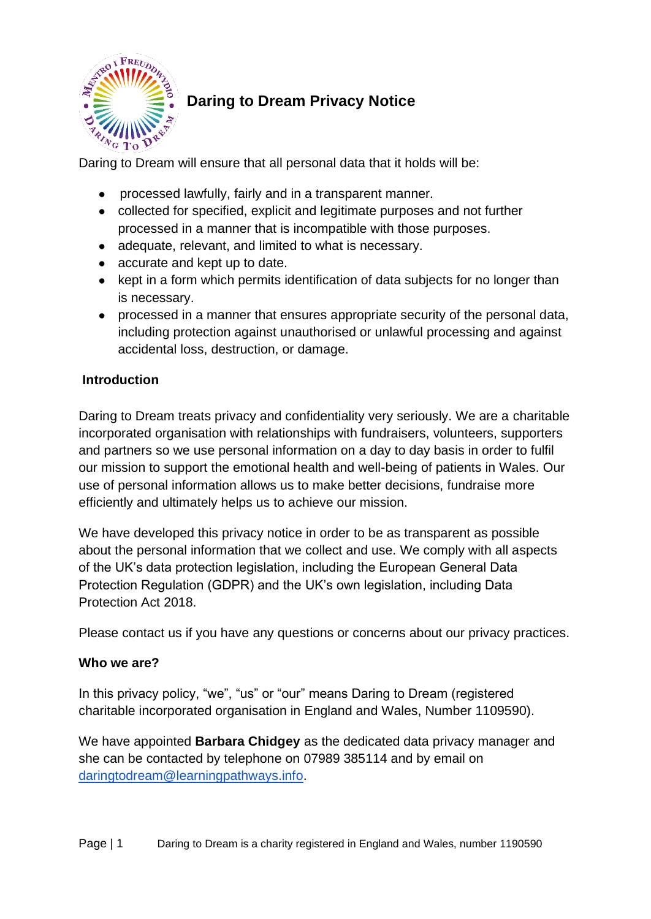

# **Daring to Dream Privacy Notice**

Daring to Dream will ensure that all personal data that it holds will be:

- processed lawfully, fairly and in a transparent manner.
- collected for specified, explicit and legitimate purposes and not further processed in a manner that is incompatible with those purposes.
- adequate, relevant, and limited to what is necessary.
- accurate and kept up to date.
- kept in a form which permits identification of data subjects for no longer than is necessary.
- processed in a manner that ensures appropriate security of the personal data, including protection against unauthorised or unlawful processing and against accidental loss, destruction, or damage.

## **Introduction**

Daring to Dream treats privacy and confidentiality very seriously. We are a charitable incorporated organisation with relationships with fundraisers, volunteers, supporters and partners so we use personal information on a day to day basis in order to fulfil our mission to support the emotional health and well-being of patients in Wales. Our use of personal information allows us to make better decisions, fundraise more efficiently and ultimately helps us to achieve our mission.

We have developed this privacy notice in order to be as transparent as possible about the personal information that we collect and use. We comply with all aspects of the UK's data protection legislation, including the European General Data Protection Regulation (GDPR) and the UK's own legislation, including Data Protection Act 2018.

Please contact us if you have any questions or concerns about our privacy practices.

#### **Who we are?**

In this privacy policy, "we", "us" or "our" means Daring to Dream (registered charitable incorporated organisation in England and Wales, Number 1109590).

We have appointed **Barbara Chidgey** as the dedicated data privacy manager and she can be contacted by telephone on 07989 385114 and by email on [daringtodream@learningpathways.info.](mailto:daringtodream@learningpathways.info)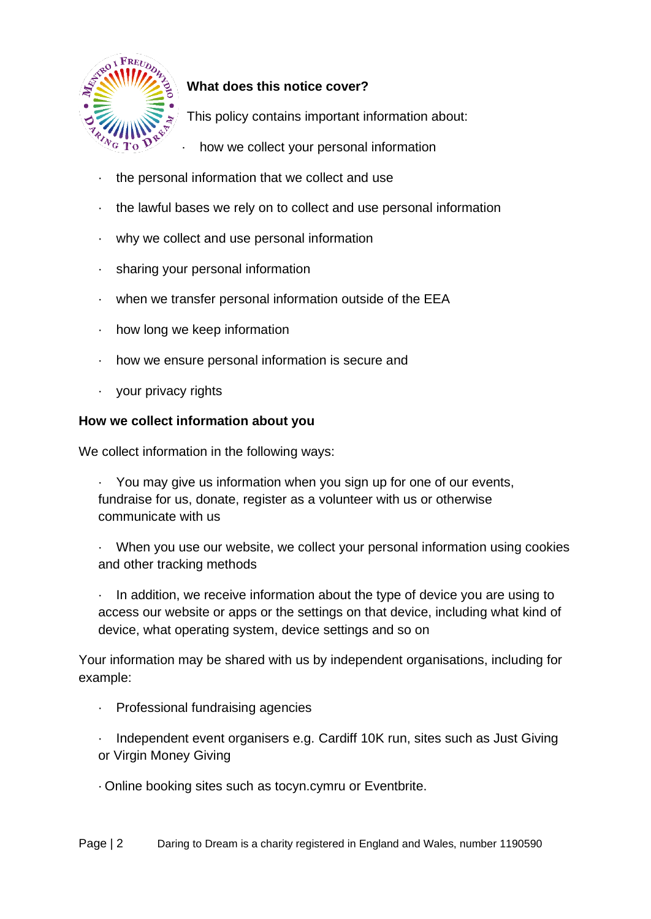

# **What does this notice cover?**

This policy contains important information about:

- how we collect your personal information
- · the personal information that we collect and use
- · the lawful bases we rely on to collect and use personal information
- · why we collect and use personal information
- · sharing your personal information
- · when we transfer personal information outside of the EEA
- · how long we keep information
- · how we ensure personal information is secure and
- · your privacy rights

#### **How we collect information about you**

We collect information in the following ways:

· You may give us information when you sign up for one of our events, fundraise for us, donate, register as a volunteer with us or otherwise communicate with us

· When you use our website, we collect your personal information using cookies and other tracking methods

· In addition, we receive information about the type of device you are using to access our website or apps or the settings on that device, including what kind of device, what operating system, device settings and so on

Your information may be shared with us by independent organisations, including for example:

Professional fundraising agencies

· Independent event organisers e.g. Cardiff 10K run, sites such as Just Giving or Virgin Money Giving

·Online booking sites such as tocyn.cymru or Eventbrite.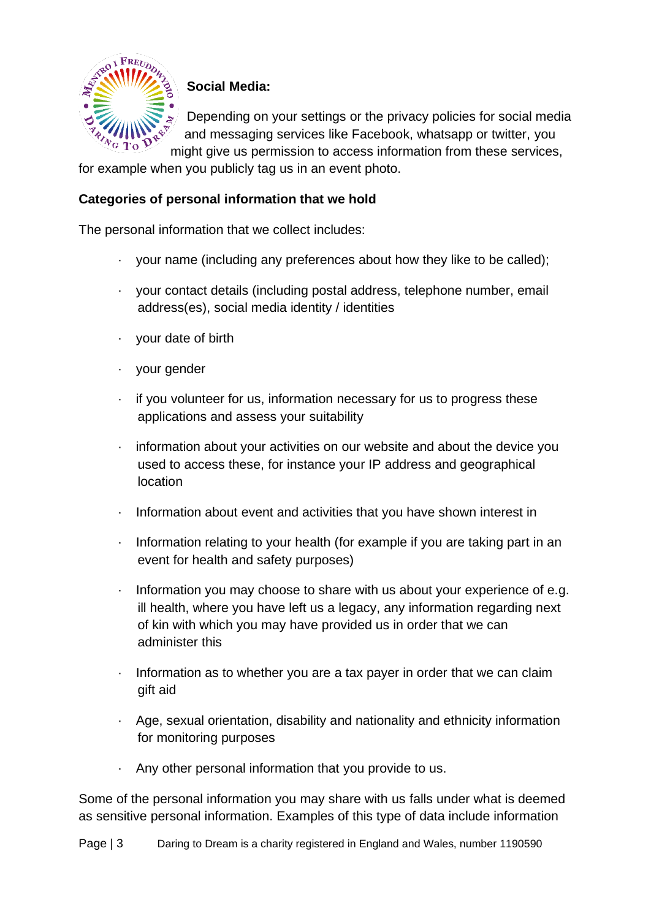

# **Social Media:**

Depending on your settings or the privacy policies for social media and messaging services like Facebook, whatsapp or twitter, you

might give us permission to access information from these services, for example when you publicly tag us in an event photo.

#### **Categories of personal information that we hold**

The personal information that we collect includes:

- · your name (including any preferences about how they like to be called);
- · your contact details (including postal address, telephone number, email address(es), social media identity / identities
- · your date of birth
- · your gender
- · if you volunteer for us, information necessary for us to progress these applications and assess your suitability
- · information about your activities on our website and about the device you used to access these, for instance your IP address and geographical location
- · Information about event and activities that you have shown interest in
- · Information relating to your health (for example if you are taking part in an event for health and safety purposes)
- · Information you may choose to share with us about your experience of e.g. ill health, where you have left us a legacy, any information regarding next of kin with which you may have provided us in order that we can administer this
- · Information as to whether you are a tax payer in order that we can claim gift aid
- · Age, sexual orientation, disability and nationality and ethnicity information for monitoring purposes
- · Any other personal information that you provide to us.

Some of the personal information you may share with us falls under what is deemed as sensitive personal information. Examples of this type of data include information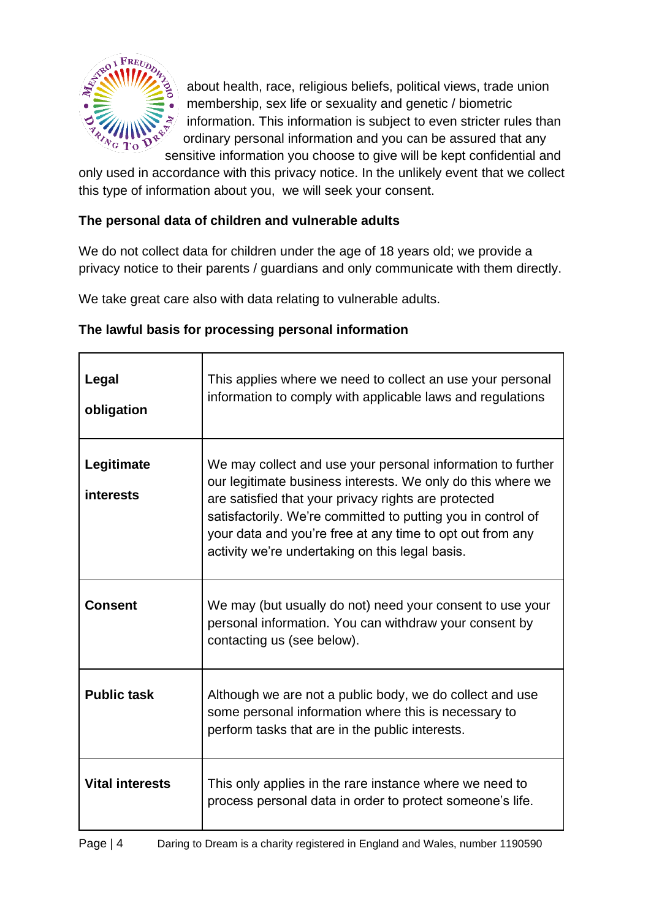

about health, race, religious beliefs, political views, trade union membership, sex life or sexuality and genetic / biometric information. This information is subject to even stricter rules than ordinary personal information and you can be assured that any sensitive information you choose to give will be kept confidential and

only used in accordance with this privacy notice. In the unlikely event that we collect this type of information about you, we will seek your consent.

## **The personal data of children and vulnerable adults**

We do not collect data for children under the age of 18 years old; we provide a privacy notice to their parents / guardians and only communicate with them directly.

We take great care also with data relating to vulnerable adults.

## **The lawful basis for processing personal information**

| Legal<br>obligation            | This applies where we need to collect an use your personal<br>information to comply with applicable laws and regulations                                                                                                                                                                                                                                           |
|--------------------------------|--------------------------------------------------------------------------------------------------------------------------------------------------------------------------------------------------------------------------------------------------------------------------------------------------------------------------------------------------------------------|
| Legitimate<br><b>interests</b> | We may collect and use your personal information to further<br>our legitimate business interests. We only do this where we<br>are satisfied that your privacy rights are protected<br>satisfactorily. We're committed to putting you in control of<br>your data and you're free at any time to opt out from any<br>activity we're undertaking on this legal basis. |
| <b>Consent</b>                 | We may (but usually do not) need your consent to use your<br>personal information. You can withdraw your consent by<br>contacting us (see below).                                                                                                                                                                                                                  |
| <b>Public task</b>             | Although we are not a public body, we do collect and use<br>some personal information where this is necessary to<br>perform tasks that are in the public interests.                                                                                                                                                                                                |
| <b>Vital interests</b>         | This only applies in the rare instance where we need to<br>process personal data in order to protect someone's life.                                                                                                                                                                                                                                               |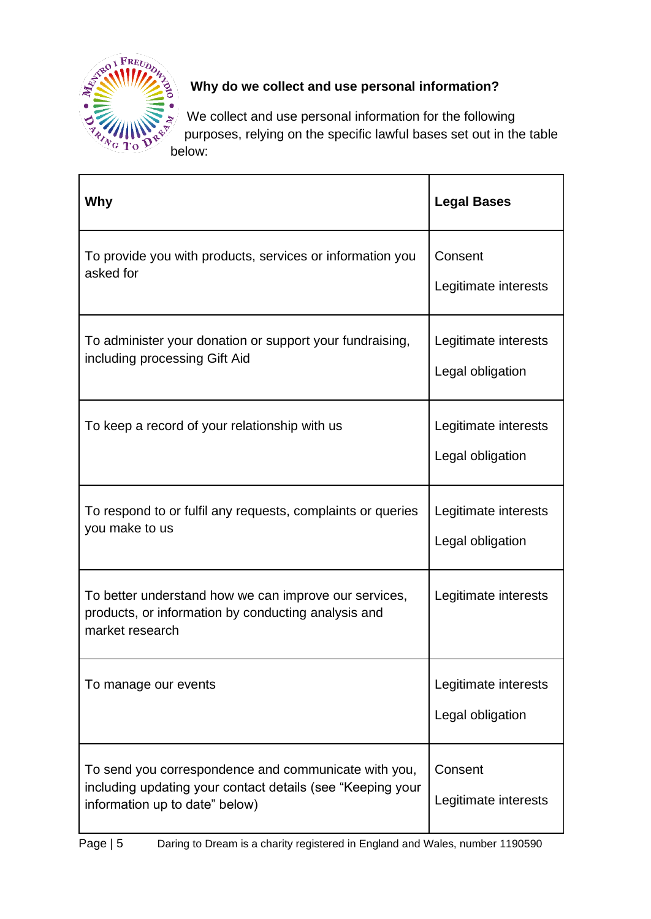

# **Why do we collect and use personal information?**

We collect and use personal information for the following purposes, relying on the specific lawful bases set out in the table below:

| Why                                                                                                                                                  | <b>Legal Bases</b>                       |
|------------------------------------------------------------------------------------------------------------------------------------------------------|------------------------------------------|
| To provide you with products, services or information you<br>asked for                                                                               | Consent<br>Legitimate interests          |
| To administer your donation or support your fundraising,<br>including processing Gift Aid                                                            | Legitimate interests<br>Legal obligation |
| To keep a record of your relationship with us                                                                                                        | Legitimate interests<br>Legal obligation |
| To respond to or fulfil any requests, complaints or queries<br>you make to us                                                                        | Legitimate interests<br>Legal obligation |
| To better understand how we can improve our services,<br>products, or information by conducting analysis and<br>market research                      | Legitimate interests                     |
| To manage our events                                                                                                                                 | Legitimate interests<br>Legal obligation |
| To send you correspondence and communicate with you,<br>including updating your contact details (see "Keeping your<br>information up to date" below) | Consent<br>Legitimate interests          |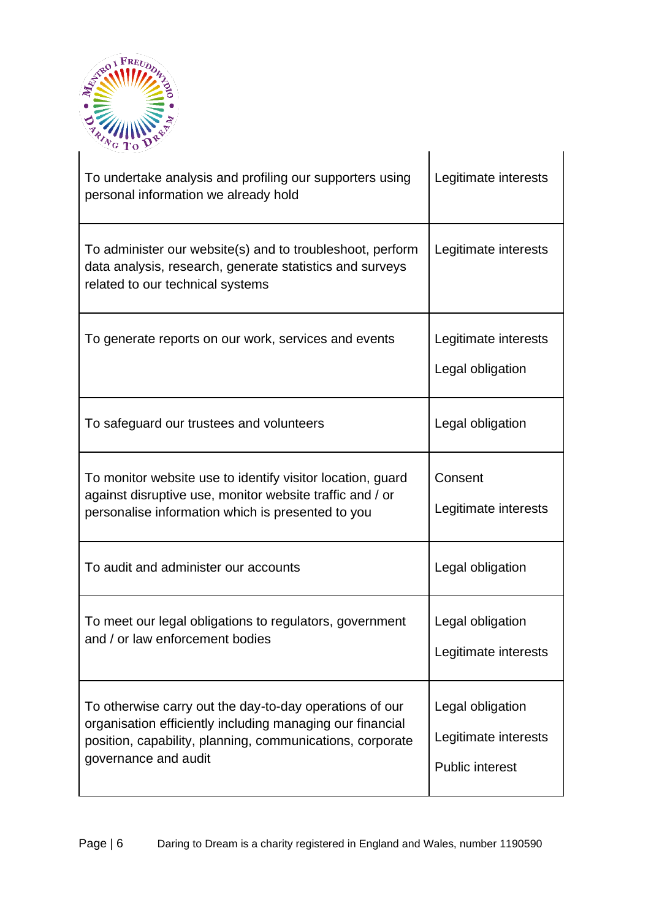

| To undertake analysis and profiling our supporters using<br>personal information we already hold                                                                                                          | Legitimate interests                                               |
|-----------------------------------------------------------------------------------------------------------------------------------------------------------------------------------------------------------|--------------------------------------------------------------------|
| To administer our website(s) and to troubleshoot, perform<br>data analysis, research, generate statistics and surveys<br>related to our technical systems                                                 | Legitimate interests                                               |
| To generate reports on our work, services and events                                                                                                                                                      | Legitimate interests<br>Legal obligation                           |
| To safeguard our trustees and volunteers                                                                                                                                                                  | Legal obligation                                                   |
| To monitor website use to identify visitor location, guard<br>against disruptive use, monitor website traffic and / or<br>personalise information which is presented to you                               | Consent<br>Legitimate interests                                    |
| To audit and administer our accounts                                                                                                                                                                      | Legal obligation                                                   |
| To meet our legal obligations to regulators, government<br>and / or law enforcement bodies                                                                                                                | Legal obligation<br>Legitimate interests                           |
| To otherwise carry out the day-to-day operations of our<br>organisation efficiently including managing our financial<br>position, capability, planning, communications, corporate<br>governance and audit | Legal obligation<br>Legitimate interests<br><b>Public interest</b> |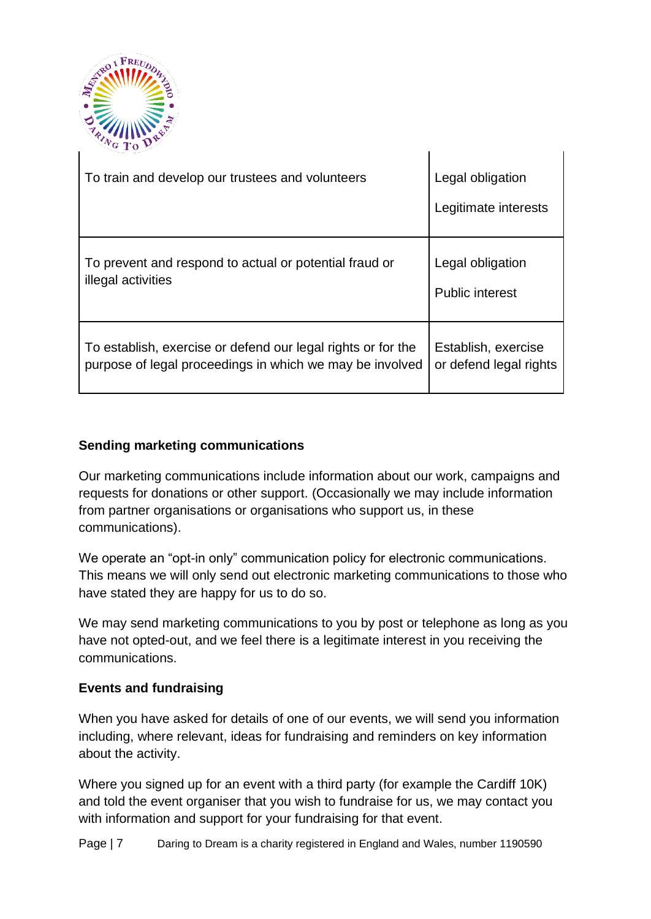

| To train and develop our trustees and volunteers             | Legal obligation<br>Legitimate interests |
|--------------------------------------------------------------|------------------------------------------|
| To prevent and respond to actual or potential fraud or       | Legal obligation                         |
| illegal activities                                           | <b>Public interest</b>                   |
| To establish, exercise or defend our legal rights or for the | Establish, exercise                      |
| purpose of legal proceedings in which we may be involved     | or defend legal rights                   |

 $\mathbf{L}$ 

## **Sending marketing communications**

Our marketing communications include information about our work, campaigns and requests for donations or other support. (Occasionally we may include information from partner organisations or organisations who support us, in these communications).

We operate an "opt-in only" communication policy for electronic communications. This means we will only send out electronic marketing communications to those who have stated they are happy for us to do so.

We may send marketing communications to you by post or telephone as long as you have not opted-out, and we feel there is a legitimate interest in you receiving the communications.

#### **Events and fundraising**

When you have asked for details of one of our events, we will send you information including, where relevant, ideas for fundraising and reminders on key information about the activity.

Where you signed up for an event with a third party (for example the Cardiff 10K) and told the event organiser that you wish to fundraise for us, we may contact you with information and support for your fundraising for that event.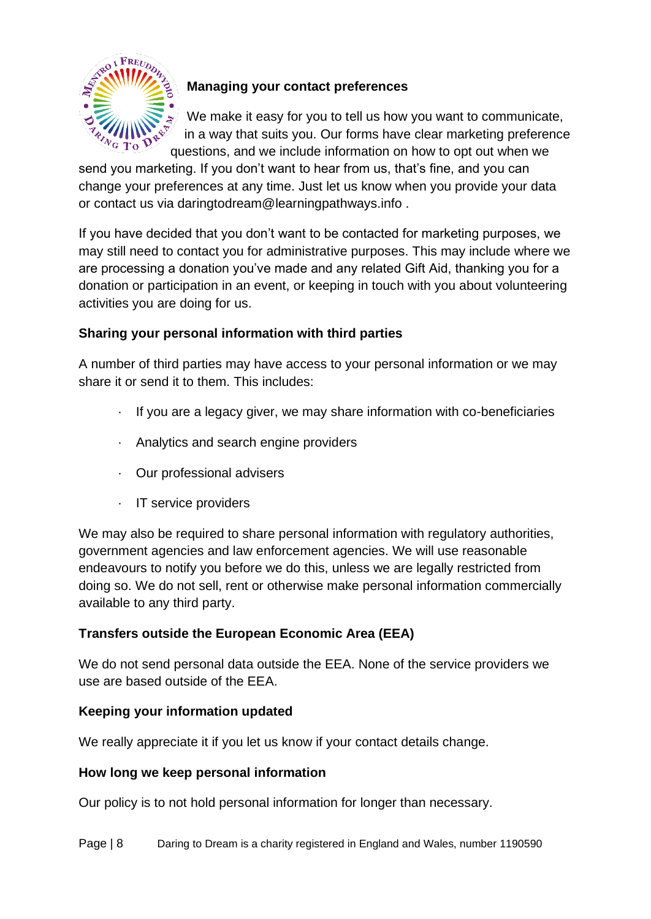

## **Managing your contact preferences**

We make it easy for you to tell us how you want to communicate, in a way that suits you. Our forms have clear marketing preference questions, and we include information on how to opt out when we

send you marketing. If you don't want to hear from us, that's fine, and you can change your preferences at any time. Just let us know when you provide your data or contact us via daringtodream@learningpathways.info .

If you have decided that you don't want to be contacted for marketing purposes, we may still need to contact you for administrative purposes. This may include where we are processing a donation you've made and any related Gift Aid, thanking you for a donation or participation in an event, or keeping in touch with you about volunteering activities you are doing for us.

## **Sharing your personal information with third parties**

A number of third parties may have access to your personal information or we may share it or send it to them. This includes:

- · If you are a legacy giver, we may share information with co-beneficiaries
- · Analytics and search engine providers
- · Our professional advisers
- · IT service providers

We may also be required to share personal information with regulatory authorities, government agencies and law enforcement agencies. We will use reasonable endeavours to notify you before we do this, unless we are legally restricted from doing so. We do not sell, rent or otherwise make personal information commercially available to any third party.

## **Transfers outside the European Economic Area (EEA)**

We do not send personal data outside the EEA. None of the service providers we use are based outside of the EEA.

#### **Keeping your information updated**

We really appreciate it if you let us know if your contact details change.

#### **How long we keep personal information**

Our policy is to not hold personal information for longer than necessary.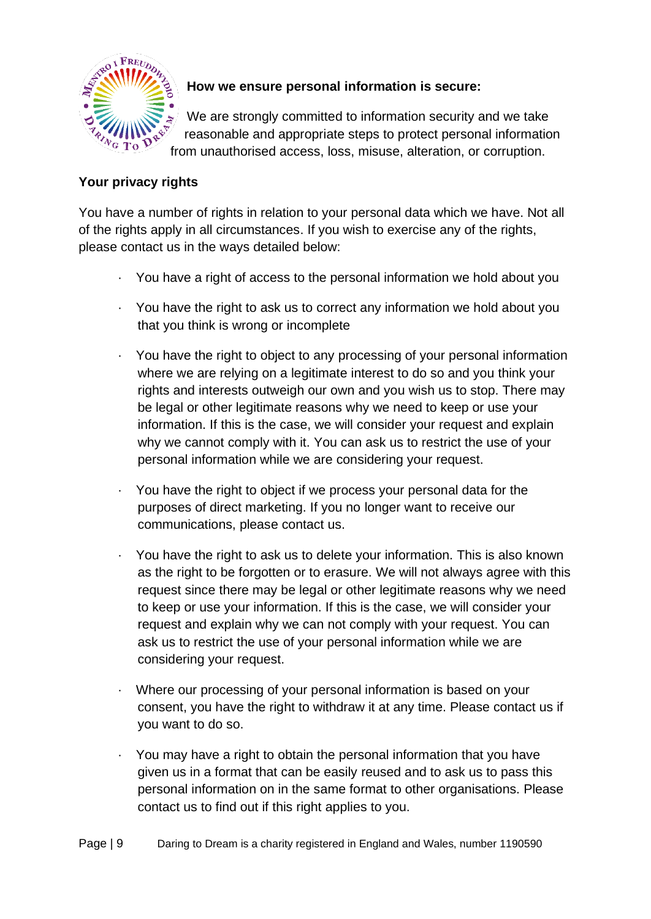

# **How we ensure personal information is secure:**

We are strongly committed to information security and we take reasonable and appropriate steps to protect personal information from unauthorised access, loss, misuse, alteration, or corruption.

## **Your privacy rights**

You have a number of rights in relation to your personal data which we have. Not all of the rights apply in all circumstances. If you wish to exercise any of the rights, please contact us in the ways detailed below:

- · You have a right of access to the personal information we hold about you
- · You have the right to ask us to correct any information we hold about you that you think is wrong or incomplete
- · You have the right to object to any processing of your personal information where we are relying on a legitimate interest to do so and you think your rights and interests outweigh our own and you wish us to stop. There may be legal or other legitimate reasons why we need to keep or use your information. If this is the case, we will consider your request and explain why we cannot comply with it. You can ask us to restrict the use of your personal information while we are considering your request.
- · You have the right to object if we process your personal data for the purposes of direct marketing. If you no longer want to receive our communications, please contact us.
- · You have the right to ask us to delete your information. This is also known as the right to be forgotten or to erasure. We will not always agree with this request since there may be legal or other legitimate reasons why we need to keep or use your information. If this is the case, we will consider your request and explain why we can not comply with your request. You can ask us to restrict the use of your personal information while we are considering your request.
- Where our processing of your personal information is based on your consent, you have the right to withdraw it at any time. Please contact us if you want to do so.
- · You may have a right to obtain the personal information that you have given us in a format that can be easily reused and to ask us to pass this personal information on in the same format to other organisations. Please contact us to find out if this right applies to you.